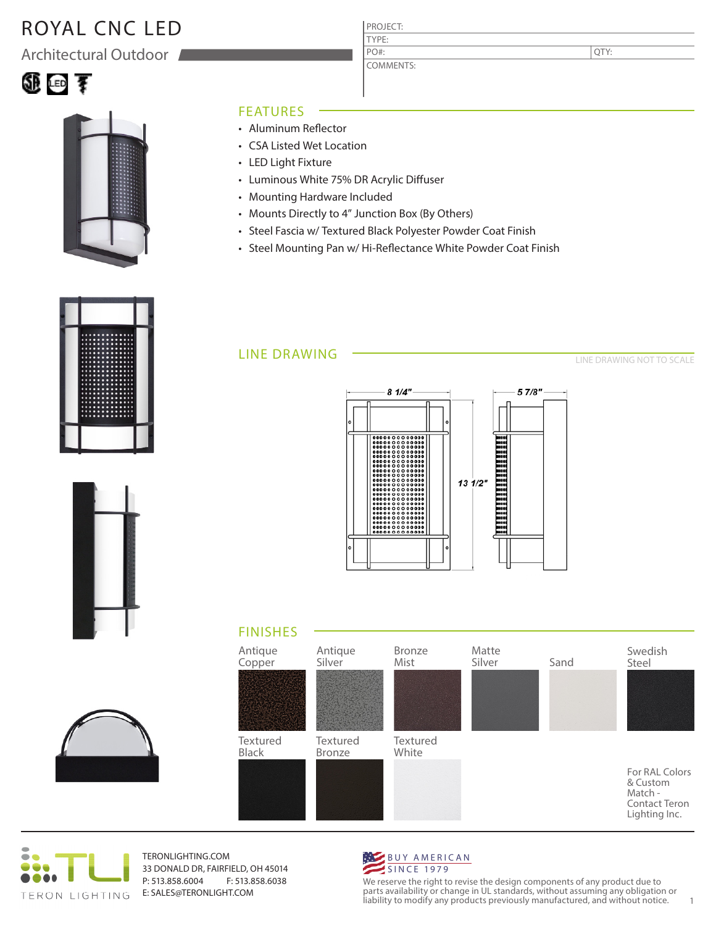# ROYAL CNC LED

Architectural Outdoor





### FEATURES

- Aluminum Reflector
- CSA Listed Wet Location
- LED Light Fixture
- Luminous White 75% DR Acrylic Diffuser
- Mounting Hardware Included
- Mounts Directly to 4" Junction Box (By Others)
- Steel Fascia w/ Textured Black Polyester Powder Coat Finish

PROJECT: TYPE:

PO#:

COMMENTS:

• Steel Mounting Pan w/ Hi-Reflectance White Powder Coat Finish

### LINE DRAWING

LINE DRAWING NOT TO SCALE

QTY:













TERONLIGHTING.COM 33 DONALD DR, FAIRFIELD, OH 45014 P: 513.858.6004 F: 513.858.6038 E: SALES@TERONLIGHT.COM



We reserve the right to revise the design components of any product due to parts availability or change in UL standards, without assuming any obligation or liability to modify any products previously manufactured, and without notice. 1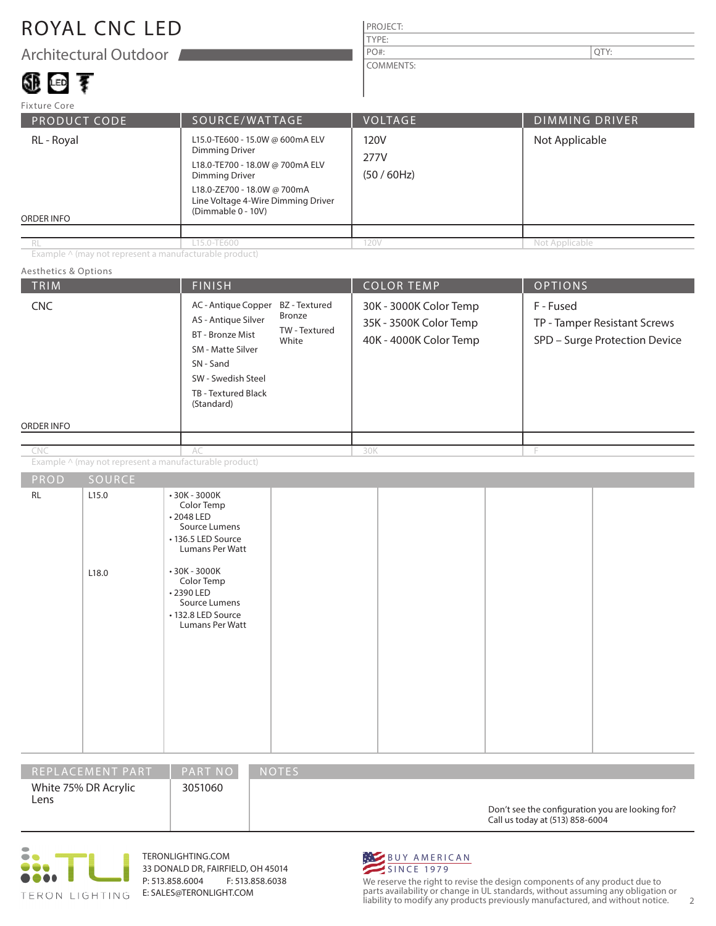### ROYAL CNC LED

Architectural Outdoor

## LED

#### PROJECT: TYPE: COMMENTS: PO#:  $\vert$  QTY:

| <b>Fixture Core</b>      |                                                                                                                                                                                                                 |                                |                       |
|--------------------------|-----------------------------------------------------------------------------------------------------------------------------------------------------------------------------------------------------------------|--------------------------------|-----------------------|
| <b>PRODUCT CODE</b>      | SOURCE/WATTAGE                                                                                                                                                                                                  | <b>VOLTAGE</b>                 | <b>DIMMING DRIVER</b> |
| RL - Royal<br>ORDER INFO | L15.0-TE600 - 15.0W @ 600mA ELV<br><b>Dimming Driver</b><br>L18.0-TE700 - 18.0W @ 700mA ELV<br><b>Dimming Driver</b><br>L18.0-ZE700 - 18.0W @ 700mA<br>Line Voltage 4-Wire Dimming Driver<br>(Dimmable 0 - 10V) | 120V<br>277V<br>$(50 / 60$ Hz) | Not Applicable        |
| RL                       | L15.0-TE600                                                                                                                                                                                                     | 120V                           | Not Applicable        |

Example ^ (may not represent a manufacturable product)

#### TRIM  $\begin{array}{|c|c|c|c|c|c|}\hline \text{FINISH} & \text{COLOR TEMP} & \text{OPTIONS} \ \hline \end{array}$ ORDER INFO Aesthetics & Options PROD SOURCE Example ^ (may not represent a manufacturable product) 30K - 3000K Color Temp 35K - 3500K Color Temp 40K - 4000K Color Temp F - Fused TP - Tamper Resistant Screws SPD – Surge Protection Device AC - Antique Copper BZ - Textured AS - Antique Silver BT - Bronze Mist SM - Matte Silver SN - Sand SW - Swedish Steel TB - Textured Black (Standard) AC 30K F RL 2.15.0 L18.0 • 30K - 3000K Color Temp • 2048 LED Source Lumens • 136.5 LED Source Lumans Per Watt • 30K - 3000K Color Temp • 2390 LED Source Lumens • 132.8 LED Source Lumans Per Watt Bronze TW - Textured White CNC CNC

| <b>IREPLACEMENT PART</b>     | <b>PART NO</b> | <b>NOTES</b>                                                                        |
|------------------------------|----------------|-------------------------------------------------------------------------------------|
| White 75% DR Acrylic<br>Lens | 3051060        | Don't see the configuration you are looking for?<br>Call us today at (513) 858-6004 |



TERONLIGHTING.COM 33 DONALD DR, FAIRFIELD, OH 45014 P: 513.858.6004 F: 513.858.6038 E: SALES@TERONLIGHT.COM



We reserve the right to revise the design components of any product due to parts availability or change in UL standards, without assuming any obligation or liability to modify any products previously manufactured, and without notice. 2